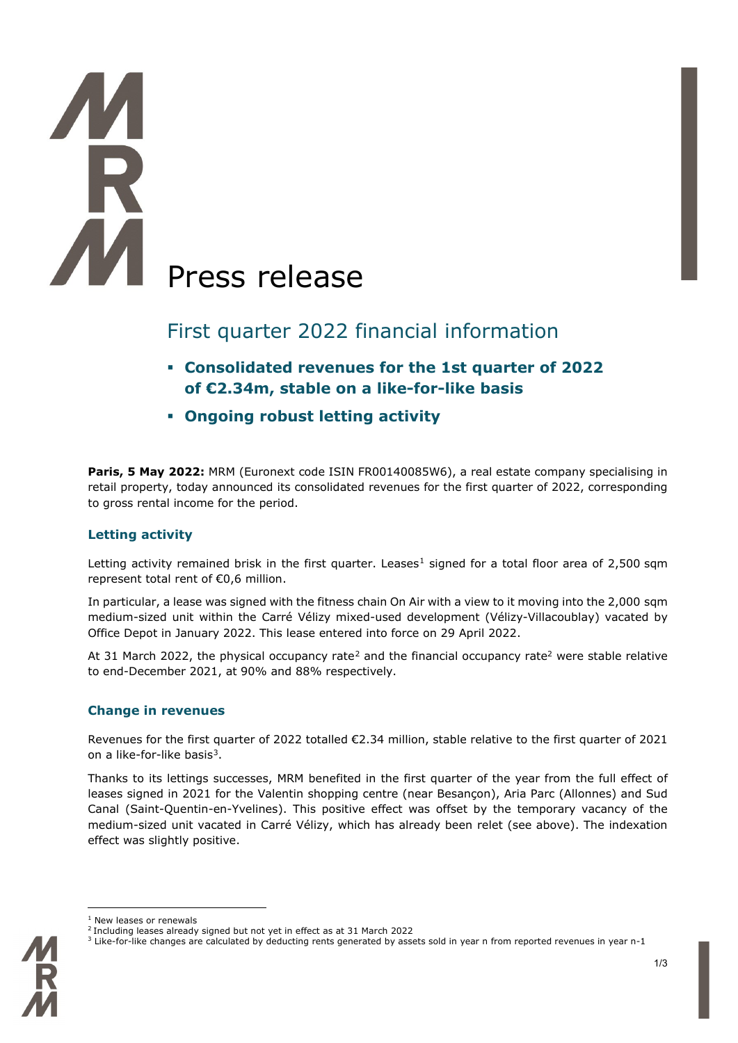# Press release

# First quarter 2022 financial information

- **Consolidated revenues for the 1st quarter of 2022 of €2.34m, stable on a like-for-like basis**
- **Ongoing robust letting activity**

**Paris, 5 May 2022:** MRM (Euronext code ISIN FR00140085W6), a real estate company specialising in retail property, today announced its consolidated revenues for the first quarter of 2022, corresponding to gross rental income for the period.

# **Letting activity**

Letting activity remained brisk in the first quarter. Leases<sup>[1](#page-0-0)</sup> signed for a total floor area of 2,500 sqm represent total rent of €0,6 million.

In particular, a lease was signed with the fitness chain On Air with a view to it moving into the 2,000 sqm medium-sized unit within the Carré Vélizy mixed-used development (Vélizy-Villacoublay) vacated by Office Depot in January 2022. This lease entered into force on 29 April 2022.

At 31 March [2](#page-0-1)022, the physical occupancy rate<sup>2</sup> and the financial occupancy rate<sup>2</sup> were stable relative to end-December 2021, at 90% and 88% respectively.

## **Change in revenues**

Revenues for the first quarter of 2022 totalled €2.34 million, stable relative to the first quarter of 2021 on a like-for-like basis[3](#page-0-2).

Thanks to its lettings successes, MRM benefited in the first quarter of the year from the full effect of leases signed in 2021 for the Valentin shopping centre (near Besançon), Aria Parc (Allonnes) and Sud Canal (Saint-Quentin-en-Yvelines). This positive effect was offset by the temporary vacancy of the medium-sized unit vacated in Carré Vélizy, which has already been relet (see above). The indexation effect was slightly positive.

<span id="page-0-2"></span><span id="page-0-1"></span><span id="page-0-0"></span><sup>&</sup>lt;sup>3</sup> Like-for-like changes are calculated by deducting rents generated by assets sold in year n from reported revenues in year n-1



<sup>1</sup> New leases or renewals

<sup>2</sup> Including leases already signed but not yet in effect as at 31 March 2022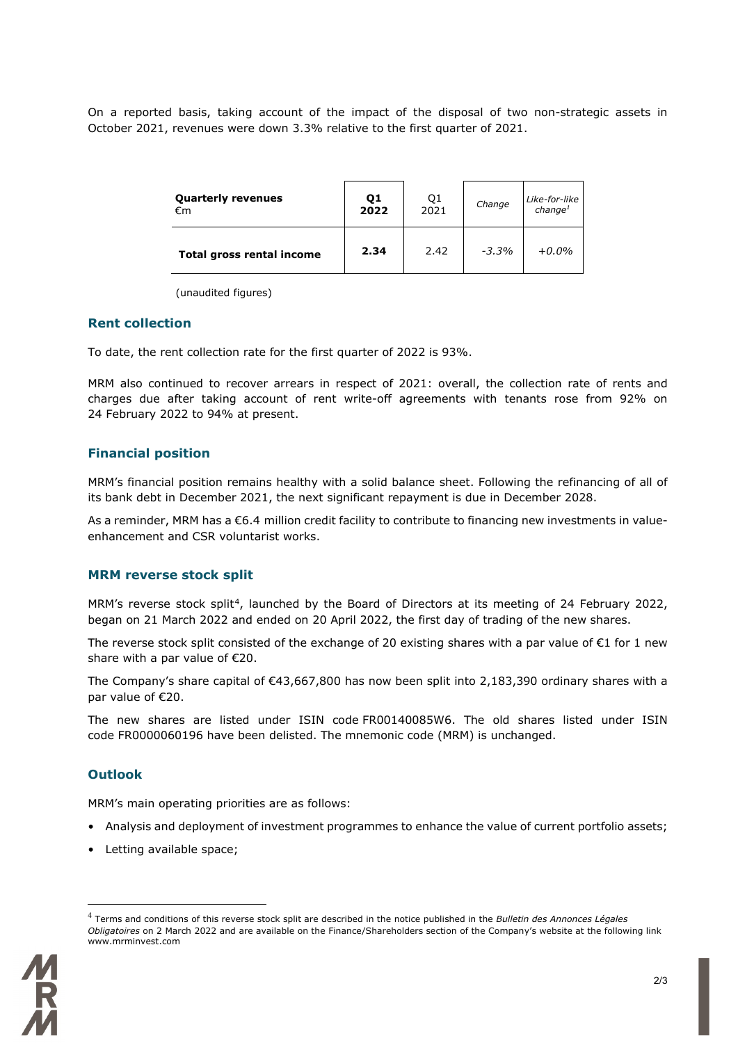On a reported basis, taking account of the impact of the disposal of two non-strategic assets in October 2021, revenues were down 3.3% relative to the first quarter of 2021.

| <b>Quarterly revenues</b> | Q1   | Q1   | Change | Like-for-like       |
|---------------------------|------|------|--------|---------------------|
| €m                        | 2022 | 2021 |        | change <sup>1</sup> |
| Total gross rental income | 2.34 | 2.42 | -3.3%  | $+0.0\%$            |

(unaudited figures)

### **Rent collection**

To date, the rent collection rate for the first quarter of 2022 is 93%.

MRM also continued to recover arrears in respect of 2021: overall, the collection rate of rents and charges due after taking account of rent write-off agreements with tenants rose from 92% on 24 February 2022 to 94% at present.

### **Financial position**

MRM's financial position remains healthy with a solid balance sheet. Following the refinancing of all of its bank debt in December 2021, the next significant repayment is due in December 2028.

As a reminder, MRM has a €6.4 million credit facility to contribute to financing new investments in valueenhancement and CSR voluntarist works.

### **MRM reverse stock split**

MRM's reverse stock split<sup>[4](#page-1-0)</sup>, launched by the Board of Directors at its meeting of 24 February 2022, began on 21 March 2022 and ended on 20 April 2022, the first day of trading of the new shares.

The reverse stock split consisted of the exchange of 20 existing shares with a par value of  $\epsilon$ 1 for 1 new share with a par value of €20.

The Company's share capital of €43,667,800 has now been split into 2,183,390 ordinary shares with a par value of €20.

The new shares are listed under ISIN code FR00140085W6. The old shares listed under ISIN code FR0000060196 have been delisted. The mnemonic code (MRM) is unchanged.

### **Outlook**

MRM's main operating priorities are as follows:

- Analysis and deployment of investment programmes to enhance the value of current portfolio assets;
- Letting available space;

<span id="page-1-0"></span><sup>4</sup> Terms and conditions of this reverse stock split are described in the notice published in the *Bulletin des Annonces Légales Obligatoires* on 2 March 2022 and are available on the Finance/Shareholders section of the Company's website at the following link www.mrminvest.com